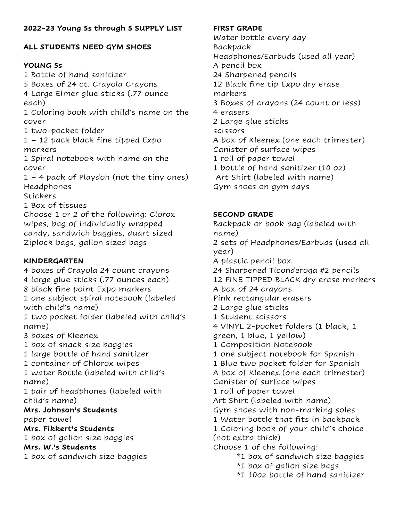# **ALL STUDENTS NEED GYM SHOES**

# **YOUNG 5s**

1 Bottle of hand sanitizer 5 Boxes of 24 ct. Crayola Crayons 4 Large Elmer glue sticks (.77 ounce each) 1 Coloring book with child's name on the cover 1 two-pocket folder 1 – 12 pack black fine tipped Expo markers 1 Spiral notebook with name on the cover 1 – 4 pack of Playdoh (not the tiny ones) Headphones **Stickers** 1 Box of tissues Choose 1 or 2 of the following: Clorox wipes, bag of individually wrapped candy, sandwich baggies, quart sized Ziplock bags, gallon sized bags **KINDERGARTEN** 4 boxes of Crayola 24 count crayons 4 large glue sticks (.77 ounces each) 8 black fine point Expo markers 1 one subject spiral notebook (labeled with child's name)

1 two pocket folder (labeled with child's name)

3 boxes of Kleenex

1 box of snack size baggies

1 large bottle of hand sanitizer

1 container of Chlorox wipes

1 water Bottle (labeled with child's name)

1 pair of headphones (labeled with child's name)

# **Mrs. Johnson's Students**

paper towel

## **Mrs. Fikkert's Students**

1 box of gallon size baggies

**Mrs. W.'s Students**

1 box of sandwich size baggies

## **FIRST GRADE**

Water bottle every day Backpack Headphones/Earbuds (used all year) A pencil box 24 Sharpened pencils 12 Black fine tip Expo dry erase markers 3 Boxes of crayons (24 count or less) 4 erasers 2 Large glue sticks scissors A box of Kleenex (one each trimester) Canister of surface wipes 1 roll of paper towel 1 bottle of hand sanitizer (10 oz) Art Shirt (labeled with name) Gym shoes on gym days

# **SECOND GRADE**

Backpack or book bag (labeled with name) 2 sets of Headphones/Earbuds (used all year) A plastic pencil box 24 Sharpened Ticonderoga #2 pencils 12 FINE TIPPED BLACK dry erase markers A box of 24 crayons Pink rectangular erasers 2 Large glue sticks 1 Student scissors 4 VINYL 2-pocket folders (1 black, 1 green, 1 blue, 1 yellow) 1 Composition Notebook 1 one subject notebook for Spanish 1 Blue two pocket folder for Spanish A box of Kleenex (one each trimester) Canister of surface wipes 1 roll of paper towel Art Shirt (labeled with name) Gym shoes with non-marking soles 1 Water bottle that fits in backpack 1 Coloring book of your child's choice (not extra thick) Choose 1 of the following: \*1 box of sandwich size baggies \*1 box of gallon size bags

\*1 10oz bottle of hand sanitizer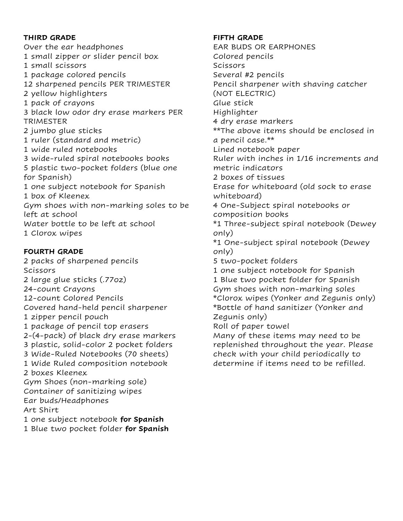### **THIRD GRADE**

Over the ear headphones 1 small zipper or slider pencil box 1 small scissors 1 package colored pencils 12 sharpened pencils PER TRIMESTER 2 yellow highlighters 1 pack of crayons 3 black low odor dry erase markers PER **TRIMESTER** 2 jumbo glue sticks 1 ruler (standard and metric) 1 wide ruled notebooks 3 wide-ruled spiral notebooks books 5 plastic two-pocket folders (blue one for Spanish) 1 one subject notebook for Spanish 1 box of Kleenex Gym shoes with non-marking soles to be left at school Water bottle to be left at school 1 Clorox wipes

## **FOURTH GRADE**

2 packs of sharpened pencils Scissors 2 large glue sticks (.77oz) 24-count Crayons 12-count Colored Pencils Covered hand-held pencil sharpener 1 zipper pencil pouch 1 package of pencil top erasers 2-(4-pack) of black dry erase markers 3 plastic, solid-color 2 pocket folders 3 Wide-Ruled Notebooks (70 sheets) 1 Wide Ruled composition notebook 2 boxes Kleenex Gym Shoes (non-marking sole) Container of sanitizing wipes Ear buds/Headphones Art Shirt 1 one subject notebook **for Spanish**

1 Blue two pocket folder **for Spanish**

### **FIFTH GRADE**

EAR BUDS OR EARPHONES Colored pencils **Scissors** Several #2 pencils Pencil sharpener with shaving catcher (NOT ELECTRIC) Glue stick Highlighter 4 dry erase markers \*\*The above items should be enclosed in a pencil case.\*\* Lined notebook paper Ruler with inches in 1/16 increments and metric indicators 2 boxes of tissues Erase for whiteboard (old sock to erase whiteboard) 4 One-Subject spiral notebooks or composition books \*1 Three-subject spiral notebook (Dewey only) \*1 One-subject spiral notebook (Dewey only) 5 two-pocket folders 1 one subject notebook for Spanish 1 Blue two pocket folder for Spanish Gym shoes with non-marking soles \*Clorox wipes (Yonker and Zegunis only) \*Bottle of hand sanitizer (Yonker and Zegunis only) Roll of paper towel Many of these items may need to be replenished throughout the year. Please check with your child periodically to determine if items need to be refilled.